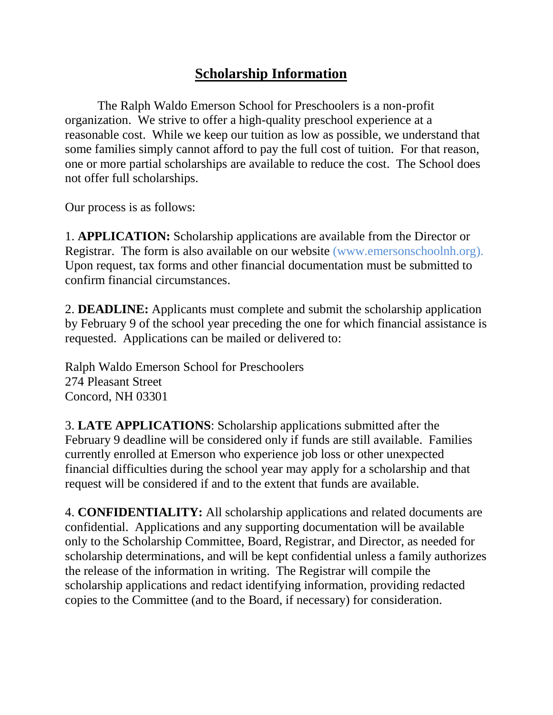## **Scholarship Information**

The Ralph Waldo Emerson School for Preschoolers is a non-profit organization. We strive to offer a high-quality preschool experience at a reasonable cost. While we keep our tuition as low as possible, we understand that some families simply cannot afford to pay the full cost of tuition. For that reason, one or more partial scholarships are available to reduce the cost. The School does not offer full scholarships.

Our process is as follows:

1. **APPLICATION:** Scholarship applications are available from the Director or Registrar. The form is also available on our website (www.emersonschoolnh.org). Upon request, tax forms and other financial documentation must be submitted to confirm financial circumstances.

2. **DEADLINE:** Applicants must complete and submit the scholarship application by February 9 of the school year preceding the one for which financial assistance is requested. Applications can be mailed or delivered to:

Ralph Waldo Emerson School for Preschoolers 274 Pleasant Street Concord, NH 03301

3. **LATE APPLICATIONS**: Scholarship applications submitted after the February 9 deadline will be considered only if funds are still available. Families currently enrolled at Emerson who experience job loss or other unexpected financial difficulties during the school year may apply for a scholarship and that request will be considered if and to the extent that funds are available.

4. **CONFIDENTIALITY:** All scholarship applications and related documents are confidential. Applications and any supporting documentation will be available only to the Scholarship Committee, Board, Registrar, and Director, as needed for scholarship determinations, and will be kept confidential unless a family authorizes the release of the information in writing. The Registrar will compile the scholarship applications and redact identifying information, providing redacted copies to the Committee (and to the Board, if necessary) for consideration.